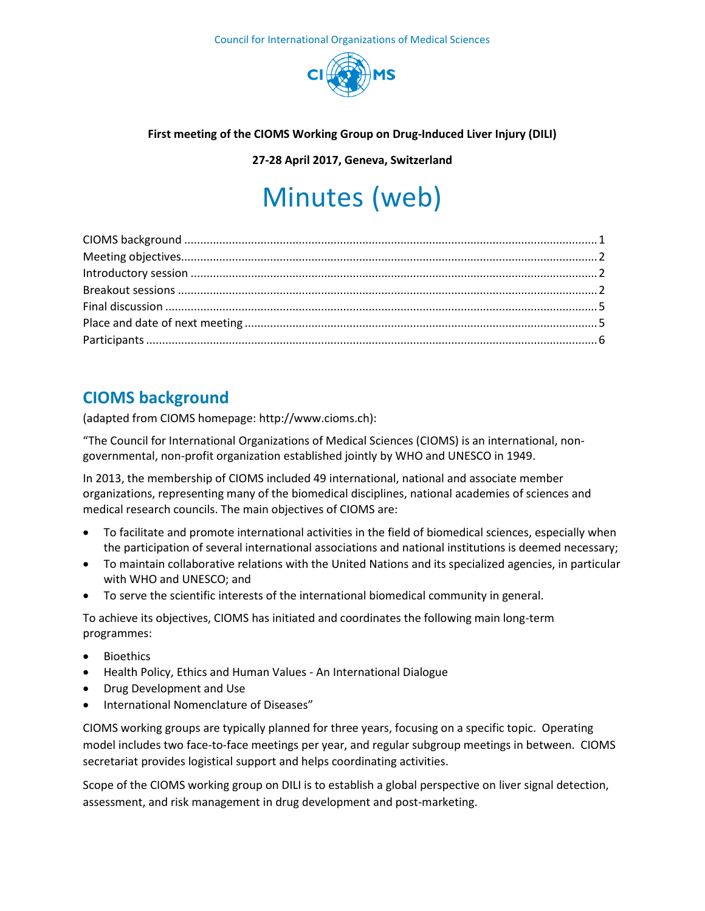

#### **First meeting of the CIOMS Working Group on Drug-Induced Liver Injury (DILI)**

**27-28 April 2017, Geneva, Switzerland**

# Minutes (web)

# <span id="page-0-0"></span>**CIOMS background**

(adapted from CIOMS homepage: http://www.cioms.ch):

"The Council for International Organizations of Medical Sciences (CIOMS) is an international, nongovernmental, non-profit organization established jointly by WHO and UNESCO in 1949.

In 2013, the membership of CIOMS included 49 international, national and associate member organizations, representing many of the biomedical disciplines, national academies of sciences and medical research councils. The main objectives of CIOMS are:

- To facilitate and promote international activities in the field of biomedical sciences, especially when the participation of several international associations and national institutions is deemed necessary;
- To maintain collaborative relations with the United Nations and its specialized agencies, in particular with WHO and UNESCO; and
- To serve the scientific interests of the international biomedical community in general.

To achieve its objectives, CIOMS has initiated and coordinates the following main long-term programmes:

- Bioethics
- Health Policy, Ethics and Human Values An International Dialogue
- Drug Development and Use
- International Nomenclature of Diseases"

CIOMS working groups are typically planned for three years, focusing on a specific topic. Operating model includes two face-to-face meetings per year, and regular subgroup meetings in between. CIOMS secretariat provides logistical support and helps coordinating activities.

Scope of the CIOMS working group on DILI is to establish a global perspective on liver signal detection, assessment, and risk management in drug development and post-marketing.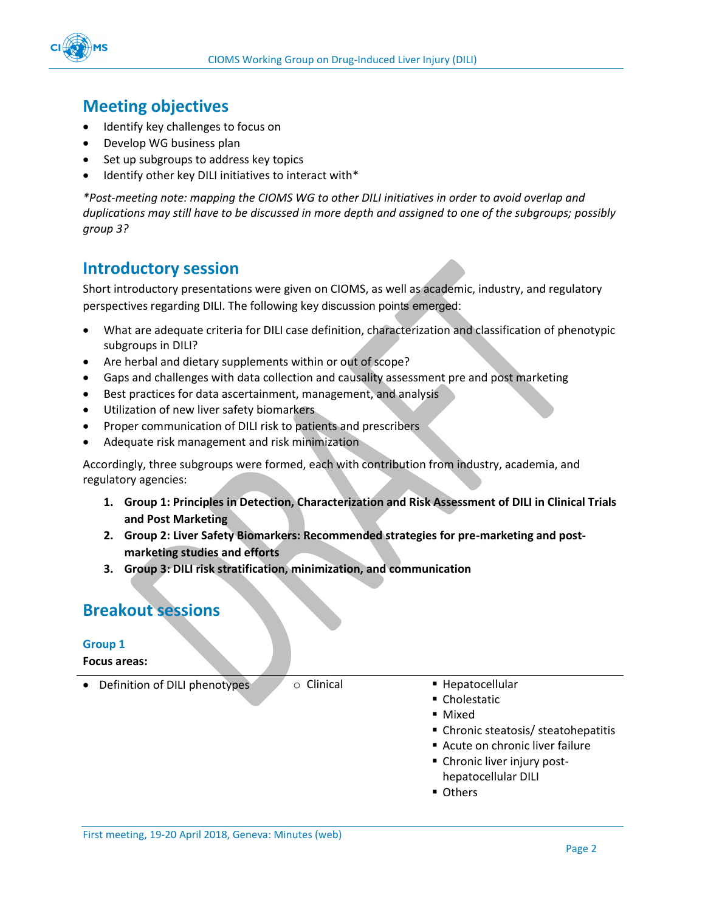

# <span id="page-1-0"></span>**Meeting objectives**

- Identify key challenges to focus on
- Develop WG business plan
- Set up subgroups to address key topics
- Identify other key DILI initiatives to interact with\*

*\*Post-meeting note: mapping the CIOMS WG to other DILI initiatives in order to avoid overlap and duplications may still have to be discussed in more depth and assigned to one of the subgroups; possibly group 3?* 

### <span id="page-1-1"></span>**Introductory session**

Short introductory presentations were given on CIOMS, as well as academic, industry, and regulatory perspectives regarding DILI. The following key discussion points emerged:

- What are adequate criteria for DILI case definition, characterization and classification of phenotypic subgroups in DILI?
- Are herbal and dietary supplements within or out of scope?
- Gaps and challenges with data collection and causality assessment pre and post marketing
- Best practices for data ascertainment, management, and analysis
- **•** Utilization of new liver safety biomarkers
- Proper communication of DILI risk to patients and prescribers
- Adequate risk management and risk minimization

Accordingly, three subgroups were formed, each with contribution from industry, academia, and regulatory agencies:

- **1. Group 1: Principles in Detection, Characterization and Risk Assessment of DILI in Clinical Trials and Post Marketing**
- **2. Group 2: Liver Safety Biomarkers: Recommended strategies for pre-marketing and postmarketing studies and efforts**
- **3. Group 3: DILI risk stratification, minimization, and communication**

### <span id="page-1-2"></span>**Breakout sessions**

#### **Group 1**

#### **Focus areas:**

• Definition of DILI phenotypes only only of Clinical The Prepatocellular

- Cholestatic
- Mixed
- Chronic steatosis/ steatohepatitis
- Acute on chronic liver failure
- Chronic liver injury post
	- hepatocellular DILI
- **Others**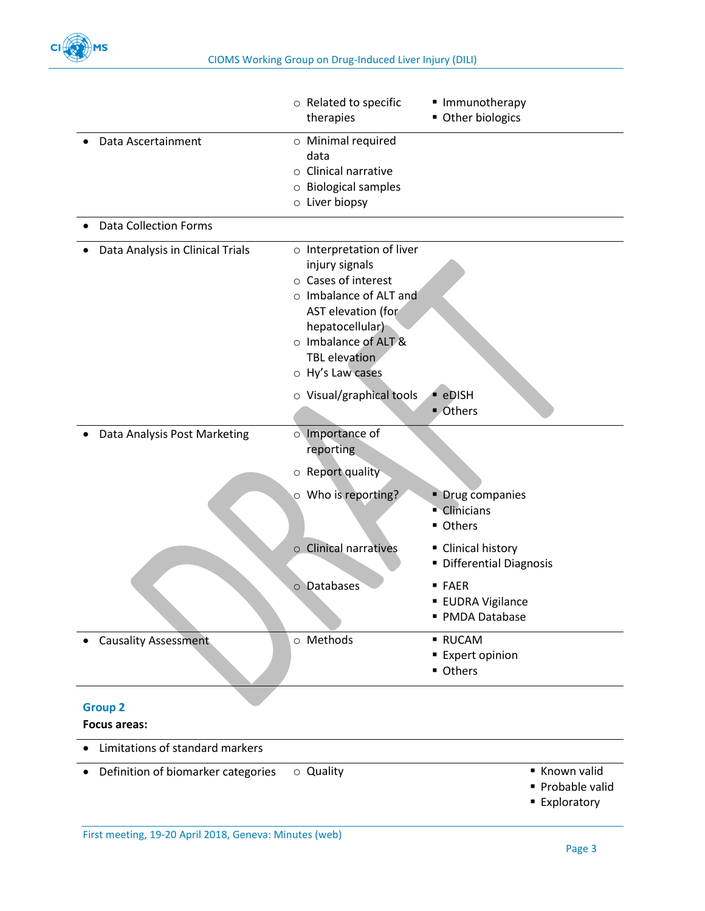

|                                       | o Related to specific<br>therapies                                                                                                                                                                 | Immunotherapy<br>Other biologics                    |
|---------------------------------------|----------------------------------------------------------------------------------------------------------------------------------------------------------------------------------------------------|-----------------------------------------------------|
| Data Ascertainment                    | o Minimal required<br>data<br>$\circ$ Clinical narrative<br>o Biological samples<br>$\circ$ Liver biopsy                                                                                           |                                                     |
| <b>Data Collection Forms</b>          |                                                                                                                                                                                                    |                                                     |
| Data Analysis in Clinical Trials      | o Interpretation of liver<br>injury signals<br>o Cases of interest<br>o Imbalance of ALT and<br>AST elevation (for<br>hepatocellular)<br>o Imbalance of ALT &<br>TBL elevation<br>o Hy's Law cases |                                                     |
|                                       | o Visual/graphical tools                                                                                                                                                                           | · eDISH<br>■ Others                                 |
| Data Analysis Post Marketing          | o Importance of<br>reporting<br>$\circ$ Report quality                                                                                                                                             |                                                     |
|                                       | ○ Who is reporting?                                                                                                                                                                                | • Drug companies<br>• Clinicians<br>■ Others        |
|                                       | o Clinical narratives                                                                                                                                                                              | Clinical history<br>Differential Diagnosis          |
|                                       | Databases<br>$\circ$                                                                                                                                                                               | ■ FAER<br><b>EUDRA Vigilance</b><br>• PMDA Database |
| <b>Causality Assessment</b>           | o Methods                                                                                                                                                                                          | ■ RUCAM<br>■ Expert opinion<br>Others               |
| <b>Group 2</b><br><b>Focus areas:</b> |                                                                                                                                                                                                    |                                                     |
| Limitations of standard markers       |                                                                                                                                                                                                    |                                                     |
| Definition of biomarker categories    | o Quality                                                                                                                                                                                          | Known valid                                         |

- Probable valid
- **Exploratory**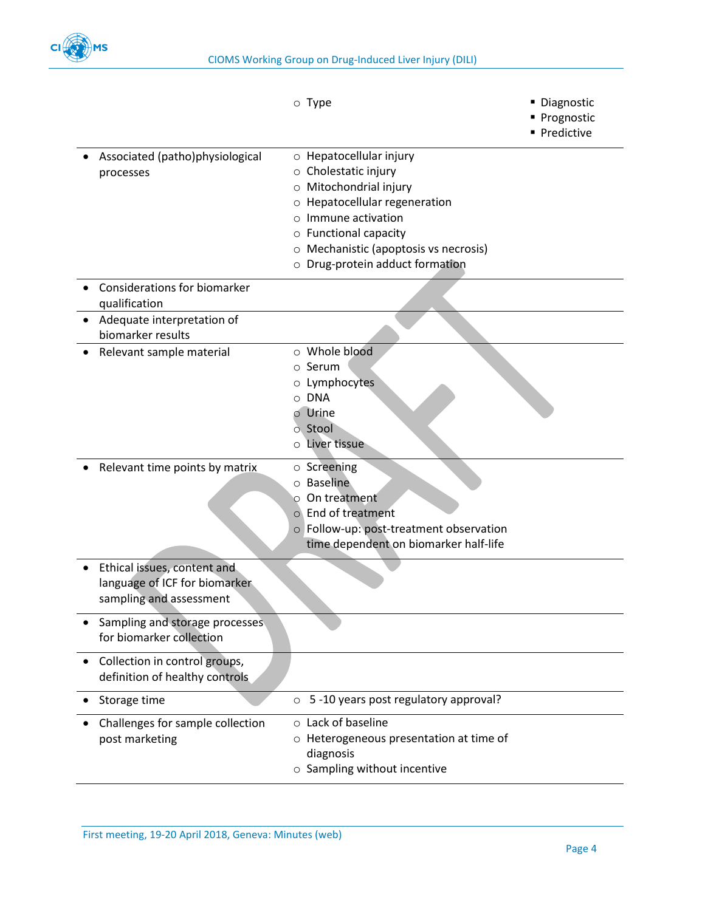

|                                                                                         |                               | $\circ$ Type                                                                                                                                                                                                                 | · Diagnostic<br>Prognostic |
|-----------------------------------------------------------------------------------------|-------------------------------|------------------------------------------------------------------------------------------------------------------------------------------------------------------------------------------------------------------------------|----------------------------|
|                                                                                         |                               |                                                                                                                                                                                                                              | Predictive                 |
| Associated (patho)physiological<br>processes                                            | $\circ$<br>$\circ$<br>$\circ$ | o Hepatocellular injury<br>Cholestatic injury<br>Mitochondrial injury<br>Hepatocellular regeneration<br>Immune activation<br>o Functional capacity<br>o Mechanistic (apoptosis vs necrosis)<br>Drug-protein adduct formation |                            |
| <b>Considerations for biomarker</b><br>qualification                                    |                               |                                                                                                                                                                                                                              |                            |
| Adequate interpretation of<br>biomarker results                                         |                               |                                                                                                                                                                                                                              |                            |
| Relevant sample material                                                                | $\circ$<br>$\Omega$           | o Whole blood<br>$\circ$ Serum<br>o Lymphocytes<br>o DNA<br>Urine<br>o Stool<br>Liver tissue                                                                                                                                 |                            |
| Relevant time points by matrix                                                          | Ω                             | $\circ$ Screening<br>o Baseline<br>On treatment<br>o End of treatment<br>o Follow-up: post-treatment observation<br>time dependent on biomarker half-life                                                                    |                            |
| Ethical issues, content and<br>language of ICF for biomarker<br>sampling and assessment |                               |                                                                                                                                                                                                                              |                            |
| Sampling and storage processes.<br>for biomarker collection                             |                               |                                                                                                                                                                                                                              |                            |
| Collection in control groups,<br>definition of healthy controls                         |                               |                                                                                                                                                                                                                              |                            |
| Storage time                                                                            | $\circ$                       | 5 -10 years post regulatory approval?                                                                                                                                                                                        |                            |
| Challenges for sample collection<br>post marketing                                      |                               | o Lack of baseline<br>o Heterogeneous presentation at time of<br>diagnosis<br>o Sampling without incentive                                                                                                                   |                            |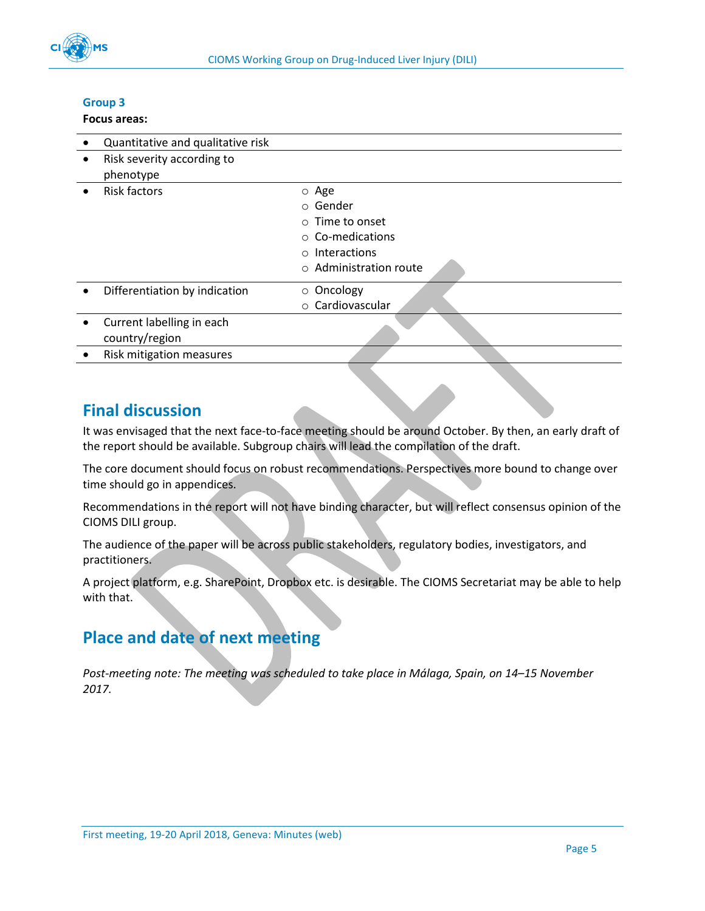

#### **Group 3**

#### **Focus areas:**

|           | Quantitative and qualitative risk           |                                                                                                                        |
|-----------|---------------------------------------------|------------------------------------------------------------------------------------------------------------------------|
| $\bullet$ | Risk severity according to<br>phenotype     |                                                                                                                        |
| $\bullet$ | <b>Risk factors</b>                         | o Age<br>○ Gender<br>$\circ$ Time to onset<br>$\circ$ Co-medications<br>$\circ$ Interactions<br>○ Administration route |
|           | Differentiation by indication               | $\circ$ Oncology<br>o Cardiovascular                                                                                   |
|           | Current labelling in each<br>country/region |                                                                                                                        |
|           | Risk mitigation measures                    |                                                                                                                        |
|           |                                             |                                                                                                                        |

### <span id="page-4-0"></span>**Final discussion**

It was envisaged that the next face-to-face meeting should be around October. By then, an early draft of the report should be available. Subgroup chairs will lead the compilation of the draft.

The core document should focus on robust recommendations. Perspectives more bound to change over time should go in appendices.

Recommendations in the report will not have binding character, but will reflect consensus opinion of the CIOMS DILI group.

The audience of the paper will be across public stakeholders, regulatory bodies, investigators, and practitioners.

A project platform, e.g. SharePoint, Dropbox etc. is desirable. The CIOMS Secretariat may be able to help with that.

## <span id="page-4-1"></span>**Place and date of next meeting**

*Post-meeting note: The meeting was scheduled to take place in Málaga, Spain, on 14–15 November 2017.*